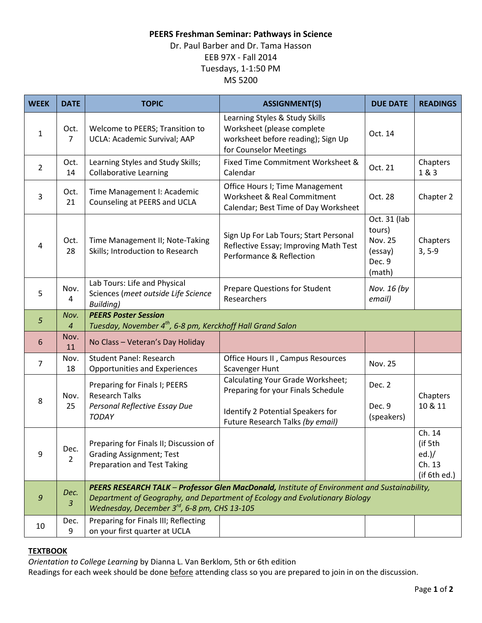# **PEERS Freshman Seminar: Pathways in Science**

# Dr. Paul Barber and Dr. Tama Hasson EEB 97X - Fall 2014 Tuesdays, 1-1:50 PM MS 5200

| <b>WEEK</b>    | <b>DATE</b>            | <b>TOPIC</b>                                                                                                                                                                                                                            | <b>ASSIGNMENT(S)</b>                                                                                                                             | <b>DUE DATE</b>                                                         | <b>READINGS</b>                                           |
|----------------|------------------------|-----------------------------------------------------------------------------------------------------------------------------------------------------------------------------------------------------------------------------------------|--------------------------------------------------------------------------------------------------------------------------------------------------|-------------------------------------------------------------------------|-----------------------------------------------------------|
| $\mathbf{1}$   | Oct.<br>$\overline{7}$ | Welcome to PEERS; Transition to<br>UCLA: Academic Survival; AAP                                                                                                                                                                         | Learning Styles & Study Skills<br>Worksheet (please complete<br>worksheet before reading); Sign Up<br>for Counselor Meetings                     | Oct. 14                                                                 |                                                           |
| $\overline{2}$ | Oct.<br>14             | Learning Styles and Study Skills;<br><b>Collaborative Learning</b>                                                                                                                                                                      | Fixed Time Commitment Worksheet &<br>Calendar                                                                                                    | Oct. 21                                                                 | Chapters<br>1 & 3                                         |
| 3              | Oct.<br>21             | Time Management I: Academic<br>Counseling at PEERS and UCLA                                                                                                                                                                             | Office Hours I; Time Management<br>Worksheet & Real Commitment<br>Calendar; Best Time of Day Worksheet                                           | Oct. 28                                                                 | Chapter 2                                                 |
| 4              | Oct.<br>28             | Time Management II; Note-Taking<br>Skills; Introduction to Research                                                                                                                                                                     | Sign Up For Lab Tours; Start Personal<br>Reflective Essay; Improving Math Test<br>Performance & Reflection                                       | Oct. 31 (lab<br>tours)<br><b>Nov. 25</b><br>(essay)<br>Dec. 9<br>(math) | Chapters<br>$3, 5-9$                                      |
| 5              | Nov.<br>4              | Lab Tours: Life and Physical<br>Sciences (meet outside Life Science<br><b>Building)</b>                                                                                                                                                 | <b>Prepare Questions for Student</b><br>Researchers                                                                                              | Nov. 16 (by<br>email)                                                   |                                                           |
| 5              | Nov.<br>4              | <b>PEERS Poster Session</b><br>Tuesday, November 4 <sup>th</sup> , 6-8 pm, Kerckhoff Hall Grand Salon                                                                                                                                   |                                                                                                                                                  |                                                                         |                                                           |
| 6              | Nov.<br>11             | No Class - Veteran's Day Holiday                                                                                                                                                                                                        |                                                                                                                                                  |                                                                         |                                                           |
| $\overline{7}$ | Nov.<br>18             | <b>Student Panel: Research</b><br><b>Opportunities and Experiences</b>                                                                                                                                                                  | Office Hours II, Campus Resources<br>Scavenger Hunt                                                                                              | <b>Nov. 25</b>                                                          |                                                           |
| 8              | Nov.<br>25             | Preparing for Finals I; PEERS<br><b>Research Talks</b><br>Personal Reflective Essay Due<br><b>TODAY</b>                                                                                                                                 | Calculating Your Grade Worksheet;<br>Preparing for your Finals Schedule<br>Identify 2 Potential Speakers for<br>Future Research Talks (by email) | Dec. 2<br>Dec. 9<br>(speakers)                                          | Chapters<br>10 & 11                                       |
| 9              | Dec.<br>$\overline{2}$ | Preparing for Finals II; Discussion of<br><b>Grading Assignment; Test</b><br><b>Preparation and Test Taking</b>                                                                                                                         |                                                                                                                                                  |                                                                         | Ch. 14<br>(if 5th<br>$ed.$ )/<br>Ch. 13<br>(if $6th$ ed.) |
| 9              | Dec.<br>$\mathfrak{Z}$ | PEERS RESEARCH TALK - Professor Glen MacDonald, Institute of Environment and Sustainability,<br>Department of Geography, and Department of Ecology and Evolutionary Biology<br>Wednesday, December 3 <sup>rd</sup> , 6-8 pm, CHS 13-105 |                                                                                                                                                  |                                                                         |                                                           |
| 10             | Dec.<br>9              | Preparing for Finals III; Reflecting<br>on your first quarter at UCLA                                                                                                                                                                   |                                                                                                                                                  |                                                                         |                                                           |

# **TEXTBOOK**

*Orientation to College Learning* by Dianna L. Van Berklom, 5th or 6th edition

Readings for each week should be done before attending class so you are prepared to join in on the discussion.